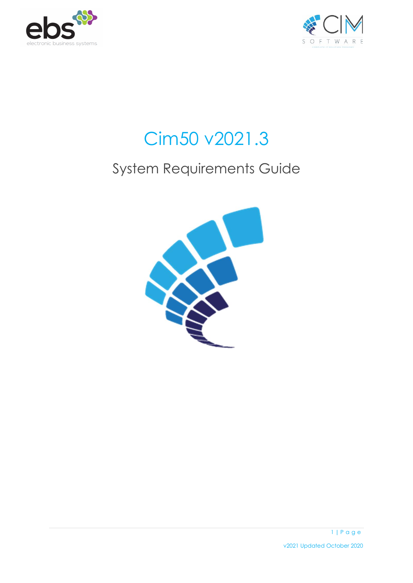



# Cim50 v2021.3

# System Requirements Guide

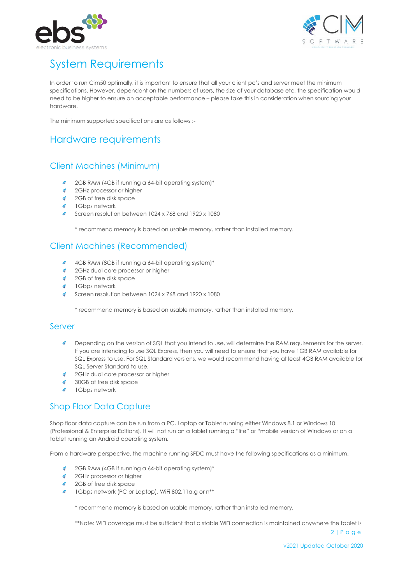



# System Requirements

In order to run Cim50 optimally, it is important to ensure that all your client pc's and server meet the minimum specifications. However, dependant on the numbers of users, the size of your database etc, the specification would need to be higher to ensure an acceptable performance – please take this in consideration when sourcing your hardware.

The minimum supported specifications are as follows :-

# Hardware requirements

### Client Machines (Minimum)

- 2GB RAM (4GB if running a 64-bit operating system)\*
- **C** 2GHz processor or higher
- **Contract** 2GB of free disk space
- ø. 1Gbps network
- $\mathscr{L}^{\pm}$ Screen resolution between 1024 x 768 and 1920 x 1080

\* recommend memory is based on usable memory, rather than installed memory.

### Client Machines (Recommended)

- 4GB RAM (8GB if running a 64-bit operating system)\*  $\mathcal{L}^{\bullet}$  .
- 2GHz dual core processor or higher ø.
- 2GB of free disk space
- 1Gbps network
- Screen resolution between 1024 x 768 and 1920 x 1080

\* recommend memory is based on usable memory, rather than installed memory.

#### Server

- **Depending on the version of SQL that you intend to use, will determine the RAM requirements for the server.** If you are intending to use SQL Express, then you will need to ensure that you have 1GB RAM available for SQL Express to use. For SQL Standard versions, we would recommend having at least 4GB RAM available for SQL Server Standard to use.
- **2GHz dual core processor or higher**
- 30GB of free disk space
- **1Gbps network**

## Shop Floor Data Capture

Shop floor data capture can be run from a PC, Laptop or Tablet running either Windows 8.1 or Windows 10 (Professional & Enterprise Editions). It will not run on a tablet running a "lite" or "mobile version of Windows or on a tablet running an Android operating system.

From a hardware perspective, the machine running SFDC must have the following specifications as a minimum.

- 2GB RAM (4GB if running a 64-bit operating system)\*
- 2GHz processor or higher
- 2GB of free disk space
- 1Gbps network (PC or Laptop), WiFi 802.11a,g or n\*\*

\* recommend memory is based on usable memory, rather than installed memory.

\*\*Note: WiFi coverage must be sufficient that a stable WiFi connection is maintained anywhere the tablet is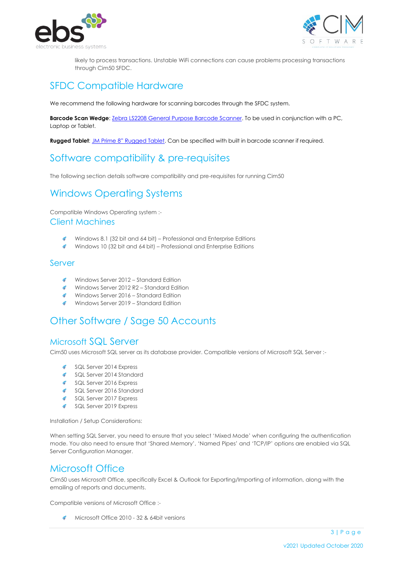



likely to process transactions. Unstable WiFi connections can cause problems processing transactions through Cim50 SFDC.

# SFDC Compatible Hardware

We recommend the following hardware for scanning barcodes through the SFDC system.

**Barcode Scan Wedge**[: Zebra LS2208 General Purpose Barcode Scanner.](https://www.zebra.com/gb/en/products/scanners/general-purpose-scanners/handheld/ls2208.html) To be used in conjunction with a PC, Laptop or Tablet.

**Rugged Tablet**: [JM Prime 8" Rugged Tablet](https://www.jmprime.co.uk/product_info.php/inch-rugged-windows-10-waterproof-tablet-with-4g-wifi-bluetooth-gps-camera-ip67-rating-p-268). Can be specified with built in barcode scanner if required.

# Software compatibility & pre-requisites

The following section details software compatibility and pre-requisites for running Cim50

# Windows Operating Systems

Compatible Windows Operating system :- Client Machines

- ¢. Windows 8.1 (32 bit and 64 bit) – Professional and Enterprise Editions
- Windows 10 (32 bit and 64 bit) Professional and Enterprise Editions

#### Server

- Windows Server 2012 Standard Edition
- Windows Server 2012 R2 Standard Edition
- Windows Server 2016 Standard Edition
- Windows Server 2019 Standard Edition

# Other Software / Sage 50 Accounts

### Microsoft SQL Server

Cim50 uses Microsoft SQL server as its database provider. Compatible versions of Microsoft SQL Server :-

- a. SQL Server 2014 Express
- SQL Server 2014 Standard
- SQL Server 2016 Express
- SQL Server 2016 Standard
- SQL Server 2017 Express
- SQL Server 2019 Express

Installation / Setup Considerations:

When setting SQL Server, you need to ensure that you select 'Mixed Mode' when configuring the authentication mode. You also need to ensure that 'Shared Memory', 'Named Pipes' and 'TCP/IP' options are enabled via SQL Server Configuration Manager.

# Microsoft Office

Cim50 uses Microsoft Office, specifically Excel & Outlook for Exporting/Importing of information, along with the emailing of reports and documents.

Compatible versions of Microsoft Office :-

Microsoft Office 2010 - 32 & 64bit versions

3 **|** P a g e